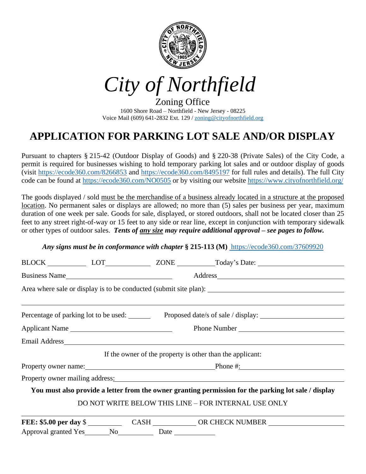

*City of Northfield*

Zoning Office 1600 Shore Road – Northfield - New Jersey - 08225 Voice Mail (609) 641-2832 Ext. 129 [/ zoning@cityofnorthfield.org](mailto:zoning@cityofnorthfield.org)

# **APPLICATION FOR PARKING LOT SALE AND/OR DISPLAY**

Pursuant to chapters § 215-42 (Outdoor Display of Goods) and § 220-38 (Private Sales) of the City Code, a permit is required for businesses wishing to hold temporary parking lot sales and or outdoor display of goods (visit<https://ecode360.com/8266853> and<https://ecode360.com/8495197> for full rules and details). The full City code can be found at<https://ecode360.com/NO0505> or by visiting our website<https://www.cityofnorthfield.org/>

The goods displayed / sold must be the merchandise of a business already located in a structure at the proposed location. No permanent sales or displays are allowed; no more than (5) sales per business per year, maximum duration of one week per sale. Goods for sale, displayed, or stored outdoors, shall not be located closer than 25 feet to any street right-of-way or 15 feet to any side or rear line, except in conjunction with temporary sidewalk or other types of outdoor sales. *Tents of any size may require additional approval – see pages to follow.*

### *Any signs must be in conformance with chapter* **§ 215-113 (M)** <https://ecode360.com/37609920>

|                                                                                                      |  |  | BLOCK LOT LOT ZONE Today's Date:                                                   |  |  |  |
|------------------------------------------------------------------------------------------------------|--|--|------------------------------------------------------------------------------------|--|--|--|
| Business Name                                                                                        |  |  |                                                                                    |  |  |  |
|                                                                                                      |  |  |                                                                                    |  |  |  |
|                                                                                                      |  |  | Percentage of parking lot to be used: Proposed date/s of sale / display: 1991 1992 |  |  |  |
| Applicant Name                                                                                       |  |  |                                                                                    |  |  |  |
|                                                                                                      |  |  |                                                                                    |  |  |  |
|                                                                                                      |  |  | If the owner of the property is other than the applicant:                          |  |  |  |
|                                                                                                      |  |  | Property owner name: Phone #:                                                      |  |  |  |
|                                                                                                      |  |  | Property owner mailing address:                                                    |  |  |  |
| You must also provide a letter from the owner granting permission for the parking lot sale / display |  |  |                                                                                    |  |  |  |
|                                                                                                      |  |  | DO NOT WRITE BELOW THIS LINE - FOR INTERNAL USE ONLY                               |  |  |  |
|                                                                                                      |  |  | FEE: \$5.00 per day \$                                                             |  |  |  |
| Approval granted Yes ________ No _____________ Date ______________                                   |  |  |                                                                                    |  |  |  |
|                                                                                                      |  |  |                                                                                    |  |  |  |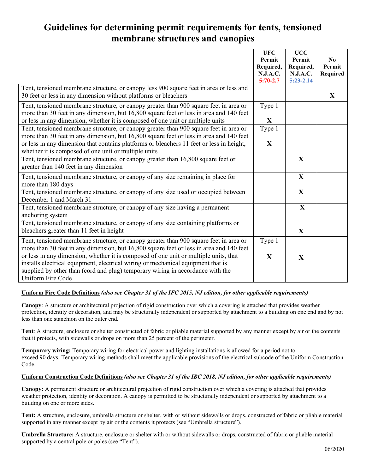## **Guidelines for determining permit requirements for tents, tensioned membrane structures and canopies**

|                                                                                                                                                           | <b>UFC</b><br>Permit | <b>UCC</b><br>Permit | N <sub>0</sub> |
|-----------------------------------------------------------------------------------------------------------------------------------------------------------|----------------------|----------------------|----------------|
|                                                                                                                                                           | Required,            | Required,            | Permit         |
|                                                                                                                                                           | <b>N.J.A.C.</b>      | N.J.A.C.             | Required       |
|                                                                                                                                                           | $5:70-2.7$           | $5:23 - 2.14$        |                |
| Tent, tensioned membrane structure, or canopy less 900 square feet in area or less and<br>30 feet or less in any dimension without platforms or bleachers |                      |                      | $\mathbf{X}$   |
| Tent, tensioned membrane structure, or canopy greater than 900 square feet in area or                                                                     | Type 1               |                      |                |
| more than 30 feet in any dimension, but 16,800 square feet or less in area and 140 feet                                                                   |                      |                      |                |
| or less in any dimension, whether it is composed of one unit or multiple units                                                                            | $\mathbf{X}$         |                      |                |
| Tent, tensioned membrane structure, or canopy greater than 900 square feet in area or                                                                     | Type 1               |                      |                |
| more than 30 feet in any dimension, but 16,800 square feet or less in area and 140 feet                                                                   |                      |                      |                |
| or less in any dimension that contains platforms or bleachers 11 feet or less in height,                                                                  | $\mathbf{X}$         |                      |                |
| whether it is composed of one unit or multiple units                                                                                                      |                      |                      |                |
| Tent, tensioned membrane structure, or canopy greater than 16,800 square feet or                                                                          |                      | $\mathbf X$          |                |
| greater than 140 feet in any dimension                                                                                                                    |                      |                      |                |
| Tent, tensioned membrane structure, or canopy of any size remaining in place for                                                                          |                      | $\mathbf X$          |                |
| more than 180 days                                                                                                                                        |                      |                      |                |
| Tent, tensioned membrane structure, or canopy of any size used or occupied between                                                                        |                      | $\mathbf X$          |                |
| December 1 and March 31                                                                                                                                   |                      |                      |                |
| Tent, tensioned membrane structure, or canopy of any size having a permanent                                                                              |                      | $\mathbf{X}$         |                |
| anchoring system                                                                                                                                          |                      |                      |                |
| Tent, tensioned membrane structure, or canopy of any size containing platforms or                                                                         |                      |                      |                |
| bleachers greater than 11 feet in height                                                                                                                  |                      | X                    |                |
| Tent, tensioned membrane structure, or canopy greater than 900 square feet in area or                                                                     | Type 1               |                      |                |
| more than 30 feet in any dimension, but 16,800 square feet or less in area and 140 feet                                                                   |                      |                      |                |
| or less in any dimension, whether it is composed of one unit or multiple units, that                                                                      | $\mathbf{X}$         | X                    |                |
| installs electrical equipment, electrical wiring or mechanical equipment that is                                                                          |                      |                      |                |
| supplied by other than (cord and plug) temporary wiring in accordance with the                                                                            |                      |                      |                |
| Uniform Fire Code                                                                                                                                         |                      |                      |                |

#### **Uniform Fire Code Definitions** *(also see Chapter 31 of the IFC 2015, NJ edition, for other applicable requirements)*

**Canopy**: A structure or architectural projection of rigid construction over which a covering is attached that provides weather protection, identity or decoration, and may be structurally independent or supported by attachment to a building on one end and by not less than one stanchion on the outer end.

**Tent**: A structure, enclosure or shelter constructed of fabric or pliable material supported by any manner except by air or the contents that it protects, with sidewalls or drops on more than 25 percent of the perimeter.

**Temporary wiring:** Temporary wiring for electrical power and lighting installations is allowed for a period not to exceed 90 days. Temporary wiring methods shall meet the applicable provisions of the electrical subcode of the Uniform Construction Code.

#### **Uniform Construction Code Definitions** *(also see Chapter 31 of the IBC 2018, NJ edition, for other applicable requirements)*

**Canopy:** A permanent structure or architectural projection of rigid construction over which a covering is attached that provides weather protection, identity or decoration. A canopy is permitted to be structurally independent or supported by attachment to a building on one or more sides.

**Tent:** A structure, enclosure, umbrella structure or shelter, with or without sidewalls or drops, constructed of fabric or pliable material supported in any manner except by air or the contents it protects (see "Umbrella structure").

**Umbrella Structure:** A structure, enclosure or shelter with or without sidewalls or drops, constructed of fabric or pliable material supported by a central pole or poles (see "Tent").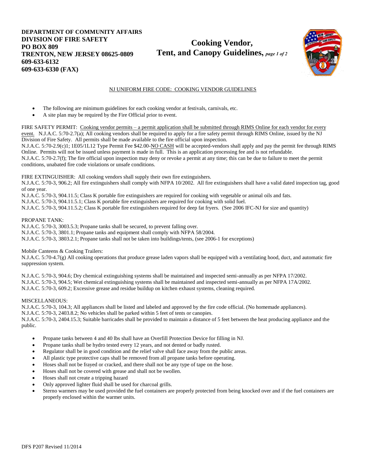**DEPARTMENT OF COMMUNITY AFFAIRS DIVISION OF FIRE SAFETY PO BOX 809 TRENTON, NEW JERSEY 08625-0809 609-633-6132 609-633-6330 (FAX)**

**Cooking Vendor, Tent, and Canopy Guidelines,** *page 1 of 2*



#### NJ UNIFORM FIRE CODE: COOKING VENDOR GUIDELINES

- The following are minimum guidelines for each cooking vendor at festivals, carnivals, etc.
- A site plan may be required by the Fire Official prior to event.

FIRE SAFETY PERMIT: Cooking vendor permits – a permit application shall be submitted through RIMS Online for each vendor for every event. N.J.A.C. 5:70-2.7(a); All cooking vendors shall be required to apply for a fire safety permit through RIMS Online, issued by the NJ Division of Fire Safety. All permits shall be made available to the fire official upon inspection.

N.J.A.C. 5:70-2.9(c)1; 1E05/1L12 Type Permit Fee \$42.00-NO CASH will be accepted-vendors shall apply and pay the permit fee through RIMS Online. Permits will not be issued unless payment is made in full. This is an application processing fee and is not refundable. N.J.A.C. 5:70-2.7(f); The fire official upon inspection may deny or revoke a permit at any time; this can be due to failure to meet the permit conditions, unabated fire code violations or unsafe conditions.

FIRE EXTINGUISHER: All cooking vendors shall supply their own fire extinguishers.

N.J.A.C. 5:70-3, 906.2; All fire extinguishers shall comply with NFPA 10/2002. All fire extinguishers shall have a valid dated inspection tag, good of one year.

N.J.A.C. 5:70-3, 904.11.5; Class K portable fire extinguishers are required for cooking with vegetable or animal oils and fats.

N.J.A.C. 5:70-3, 904.11.5.1; Class K portable fire extinguishers are required for cooking with solid fuel.

N.J.A.C. 5:70-3, 904.11.5.2; Class K portable fire extinguishers required for deep fat fryers. (See 2006 IFC-NJ for size and quantity)

#### PROPANE TANK:

N.J.A.C. 5:70-3, 3003.5.3; Propane tanks shall be secured, to prevent falling over. N.J.A.C. 5:70-3, 3801.1; Propane tanks and equipment shall comply with NFPA 58/2004.

N.J.A.C. 5:70-3, 3803.2.1; Propane tanks shall not be taken into buildings/tents, (see 2006-1 for exceptions)

Mobile Canteens & Cooking Trailers:

N.J.A.C. 5:70-4.7(g) All cooking operations that produce grease laden vapors shall be equipped with a ventilating hood, duct, and automatic fire suppression system.

N.J.A.C. 5:70-3, 904.6; Dry chemical extinguishing systems shall be maintained and inspected semi-annually as per NFPA 17/2002. N.J.A.C. 5:70-3, 904.5; Wet chemical extinguishing systems shall be maintained and inspected semi-annually as per NFPA 17A/2002. N.J.A.C. 5:70-3, 609.2; Excessive grease and residue buildup on kitchen exhaust systems, cleaning required.

#### MISCELLANEOUS:

N.J.A.C. 5:70-3, 104.3; All appliances shall be listed and labeled and approved by the fire code official. (No homemade appliances). N.J.A.C. 5:70-3, 2403.8.2; No vehicles shall be parked within 5 feet of tents or canopies. N.J.A.C. 5:70-3, 2404.15.3; Suitable barricades shall be provided to maintain a distance of 5 feet between the heat producing appliance and the public.

- Propane tanks between 4 and 40 lbs shall have an Overfill Protection Device for filling in NJ.
- Propane tanks shall be hydro tested every 12 years, and not dented or badly rusted.
- Regulator shall be in good condition and the relief valve shall face away from the public areas.
- All plastic type protective caps shall be removed from all propane tanks before operating.
- Hoses shall not be frayed or cracked, and there shall not be any type of tape on the hose.
- Hoses shall not be covered with grease and shall not be swollen.
- Hoses shall not create a tripping hazard
- Only approved lighter fluid shall be used for charcoal grills.
- Sterno warmers may be used provided the fuel containers are properly protected from being knocked over and if the fuel containers are properly enclosed within the warmer units.